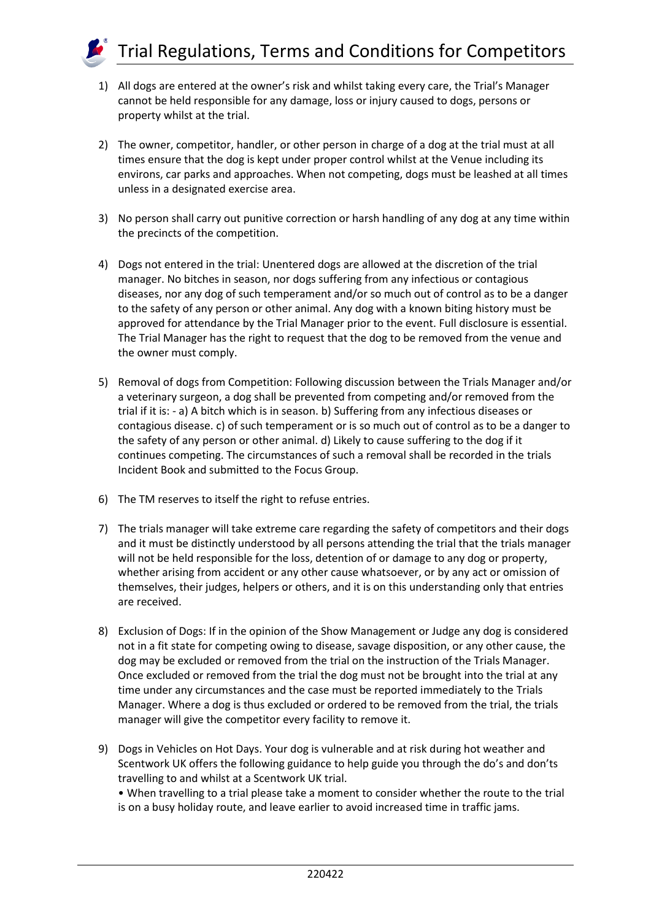

- 1) All dogs are entered at the owner's risk and whilst taking every care, the Trial's Manager cannot be held responsible for any damage, loss or injury caused to dogs, persons or property whilst at the trial.
- 2) The owner, competitor, handler, or other person in charge of a dog at the trial must at all times ensure that the dog is kept under proper control whilst at the Venue including its environs, car parks and approaches. When not competing, dogs must be leashed at all times unless in a designated exercise area.
- 3) No person shall carry out punitive correction or harsh handling of any dog at any time within the precincts of the competition.
- 4) Dogs not entered in the trial: Unentered dogs are allowed at the discretion of the trial manager. No bitches in season, nor dogs suffering from any infectious or contagious diseases, nor any dog of such temperament and/or so much out of control as to be a danger to the safety of any person or other animal. Any dog with a known biting history must be approved for attendance by the Trial Manager prior to the event. Full disclosure is essential. The Trial Manager has the right to request that the dog to be removed from the venue and the owner must comply.
- 5) Removal of dogs from Competition: Following discussion between the Trials Manager and/or a veterinary surgeon, a dog shall be prevented from competing and/or removed from the trial if it is: - a) A bitch which is in season. b) Suffering from any infectious diseases or contagious disease. c) of such temperament or is so much out of control as to be a danger to the safety of any person or other animal. d) Likely to cause suffering to the dog if it continues competing. The circumstances of such a removal shall be recorded in the trials Incident Book and submitted to the Focus Group.
- 6) The TM reserves to itself the right to refuse entries.
- 7) The trials manager will take extreme care regarding the safety of competitors and their dogs and it must be distinctly understood by all persons attending the trial that the trials manager will not be held responsible for the loss, detention of or damage to any dog or property, whether arising from accident or any other cause whatsoever, or by any act or omission of themselves, their judges, helpers or others, and it is on this understanding only that entries are received.
- 8) Exclusion of Dogs: If in the opinion of the Show Management or Judge any dog is considered not in a fit state for competing owing to disease, savage disposition, or any other cause, the dog may be excluded or removed from the trial on the instruction of the Trials Manager. Once excluded or removed from the trial the dog must not be brought into the trial at any time under any circumstances and the case must be reported immediately to the Trials Manager. Where a dog is thus excluded or ordered to be removed from the trial, the trials manager will give the competitor every facility to remove it.
- 9) Dogs in Vehicles on Hot Days. Your dog is vulnerable and at risk during hot weather and Scentwork UK offers the following guidance to help guide you through the do's and don'ts travelling to and whilst at a Scentwork UK trial.

• When travelling to a trial please take a moment to consider whether the route to the trial is on a busy holiday route, and leave earlier to avoid increased time in traffic jams.